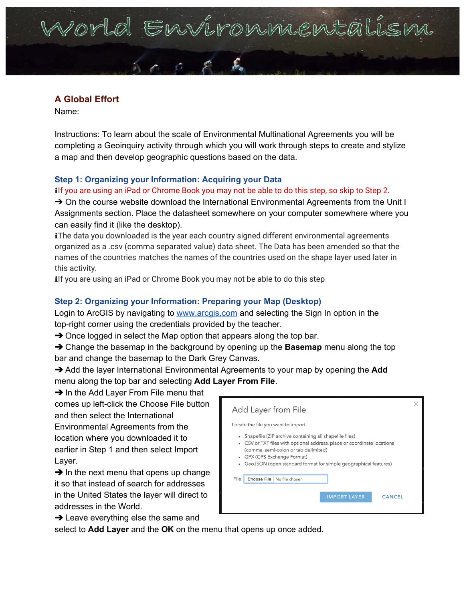# Vorld Environmental

## **A Global Effort**

Name:

Instructions: To learn about the scale of Environmental Multinational Agreements you will be completing a Geoinquiry activity through which you will work through steps to create and stylize a map and then develop geographic questions based on the data.

## **Step 1: Organizing your Information: Acquiring your Data**

ilf you are using an iPad or Chrome Book you may not be able to do this step, so skip to Step 2.

→ On the course website download the International Environmental Agreements from the Unit I Assignments section. Place the datasheet somewhere on your computer somewhere where you can easily find it (like the desktop).

iThe data you downloaded is the year each country signed different environmental agreements organized as a .csv (comma separated value) data sheet. The Data has been amended so that the names of the countries matches the names of the countries used on the shape layer used later in this activity.

ilf you are using an iPad or Chrome Book you may not be able to do this step

### **Step 2: Organizing your Information: Preparing your Map (Desktop)**

Login to ArcGIS by navigating to [www.arcgis.com](http://www.arcgis.com/) and selecting the Sign In option in the top-right corner using the credentials provided by the teacher.

 $\rightarrow$  Once logged in select the Map option that appears along the top bar.

➔ Change the basemap in the background by opening up the **Basemap** menu along the top bar and change the basemap to the Dark Grey Canvas.

➔ Add the layer International Environmental Agreements to your map by opening the **Add** menu along the top bar and selecting **Add Layer From File**.

**→ In the Add Layer From File menu that** comes up left-click the Choose File button and then select the International Environmental Agreements from the location where you downloaded it to earlier in Step 1 and then select Import Layer.

 $\rightarrow$  In the next menu that opens up change it so that instead of search for addresses in the United States the layer will direct to addresses in the World.

 $\rightarrow$  Leave everything else the same and

Add Layer from File Locate the file you want to import. • Shapefile (ZIP archive containing all shapefile files) • CSV or TXT files with optional address, place or coordinate locations (comma, semi-colon or tab delimited) • GPX (GPS Exchange Format) • GeoJSON (open standard format for simple geographical features) File: Choose File No file chosen CANCEL

select to **Add Layer** and the **OK** on the menu that opens up once added.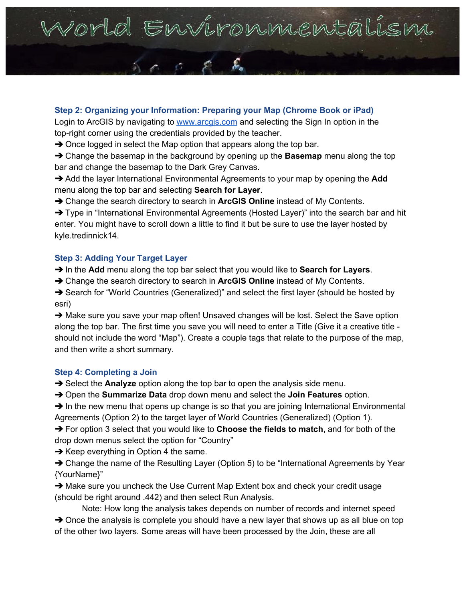## Vorld Environnentali

### **Step 2: Organizing your Information: Preparing your Map (Chrome Book or iPad)** Login to ArcGIS by navigating to [www.arcgis.com](http://www.arcgis.com/) and selecting the Sign In option in the

top-right corner using the credentials provided by the teacher.

 $\rightarrow$  Once logged in select the Map option that appears along the top bar.

➔ Change the basemap in the background by opening up the **Basemap** menu along the top bar and change the basemap to the Dark Grey Canvas.

➔ Add the layer International Environmental Agreements to your map by opening the **Add** menu along the top bar and selecting **Search for Layer**.

➔ Change the search directory to search in **ArcGIS Online** instead of My Contents.

→ Type in "International Environmental Agreements (Hosted Layer)" into the search bar and hit enter. You might have to scroll down a little to find it but be sure to use the layer hosted by kyle.tredinnick14.

### **Step 3: Adding Your Target Layer**

➔ In the **Add** menu along the top bar select that you would like to **Search for Layers**.

➔ Change the search directory to search in **ArcGIS Online** instead of My Contents.

→ Search for "World Countries (Generalized)" and select the first layer (should be hosted by esri)

➔ Make sure you save your map often! Unsaved changes will be lost. Select the Save option along the top bar. The first time you save you will need to enter a Title (Give it a creative title should not include the word "Map"). Create a couple tags that relate to the purpose of the map, and then write a short summary.

### **Step 4: Completing a Join**

➔ Select the **Analyze** option along the top bar to open the analysis side menu.

➔ Open the **Summarize Data** drop down menu and select the **Join Features** option.

 $\rightarrow$  In the new menu that opens up change is so that you are joining International Environmental Agreements (Option 2) to the target layer of World Countries (Generalized) (Option 1).

➔ For option 3 select that you would like to **Choose the fields to match**, and for both of the drop down menus select the option for "Country"

 $\rightarrow$  Keep everything in Option 4 the same.

**→ Change the name of the Resulting Layer (Option 5) to be "International Agreements by Year** {YourName}"

➔ Make sure you uncheck the Use Current Map Extent box and check your credit usage (should be right around .442) and then select Run Analysis.

Note: How long the analysis takes depends on number of records and internet speed  $\rightarrow$  Once the analysis is complete you should have a new layer that shows up as all blue on top of the other two layers. Some areas will have been processed by the Join, these are all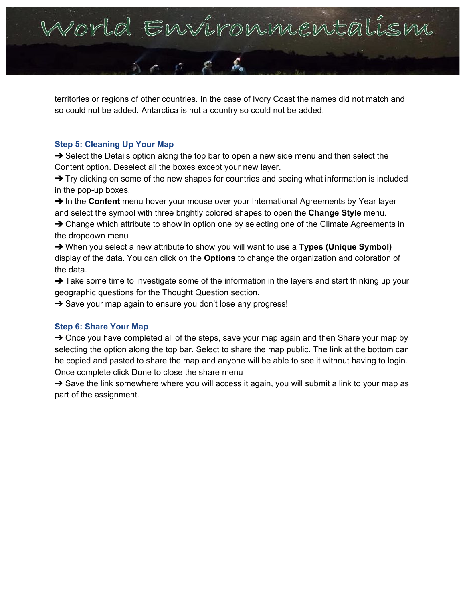

territories or regions of other countries. In the case of Ivory Coast the names did not match and so could not be added. Antarctica is not a country so could not be added.

#### **Step 5: Cleaning Up Your Map**

➔ Select the Details option along the top bar to open a new side menu and then select the Content option. Deselect all the boxes except your new layer.

→ Try clicking on some of the new shapes for countries and seeing what information is included in the pop-up boxes.

→ In the **Content** menu hover your mouse over your International Agreements by Year layer and select the symbol with three brightly colored shapes to open the **Change Style** menu.

**→ Change which attribute to show in option one by selecting one of the Climate Agreements in** the dropdown menu

➔ When you select a new attribute to show you will want to use a **Types (Unique Symbol)** display of the data. You can click on the **Options** to change the organization and coloration of the data.

→ Take some time to investigate some of the information in the layers and start thinking up your geographic questions for the Thought Question section.

**→** Save your map again to ensure you don't lose any progress!

#### **Step 6: Share Your Map**

→ Once you have completed all of the steps, save your map again and then Share your map by selecting the option along the top bar. Select to share the map public. The link at the bottom can be copied and pasted to share the map and anyone will be able to see it without having to login. Once complete click Done to close the share menu

→ Save the link somewhere where you will access it again, you will submit a link to your map as part of the assignment.